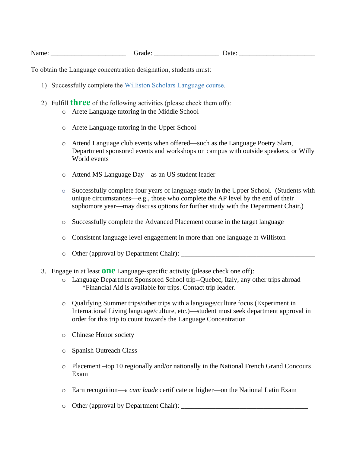To obtain the Language concentration designation, students must:

- 1) Successfully complete the Williston Scholars Language course.
- 2) Fulfill **three** of the following activities (please check them off):
	- o Arete Language tutoring in the Middle School
	- o Arete Language tutoring in the Upper School
	- o Attend Language club events when offered—such as the Language Poetry Slam, Department sponsored events and workshops on campus with outside speakers, or Willy World events
	- o Attend MS Language Day—as an US student leader
	- o Successfully complete four years of language study in the Upper School. (Students with unique circumstances—e.g., those who complete the AP level by the end of their sophomore year—may discuss options for further study with the Department Chair.)
	- o Successfully complete the Advanced Placement course in the target language
	- o Consistent language level engagement in more than one language at Williston
	- o Other (approval by Department Chair): \_\_\_\_\_\_\_\_\_\_\_\_\_\_\_\_\_\_\_\_\_\_\_\_\_\_\_\_\_\_\_\_\_\_\_\_\_\_\_
- 3. Engage in at least **one** Language-specific activity (please check one off):
	- o Language Department Sponsored School trip--Quebec, Italy, any other trips abroad \*Financial Aid is available for trips. Contact trip leader.
	- o Qualifying Summer trips/other trips with a language/culture focus (Experiment in International Living language/culture, etc.)—student must seek department approval in order for this trip to count towards the Language Concentration
	- o Chinese Honor society
	- o Spanish Outreach Class
	- o Placement –top 10 regionally and/or nationally in the National French Grand Concours Exam
	- o Earn recognition—a *cum laude* certificate or higher—on the National Latin Exam
	- $\circ$  Other (approval by Department Chair):